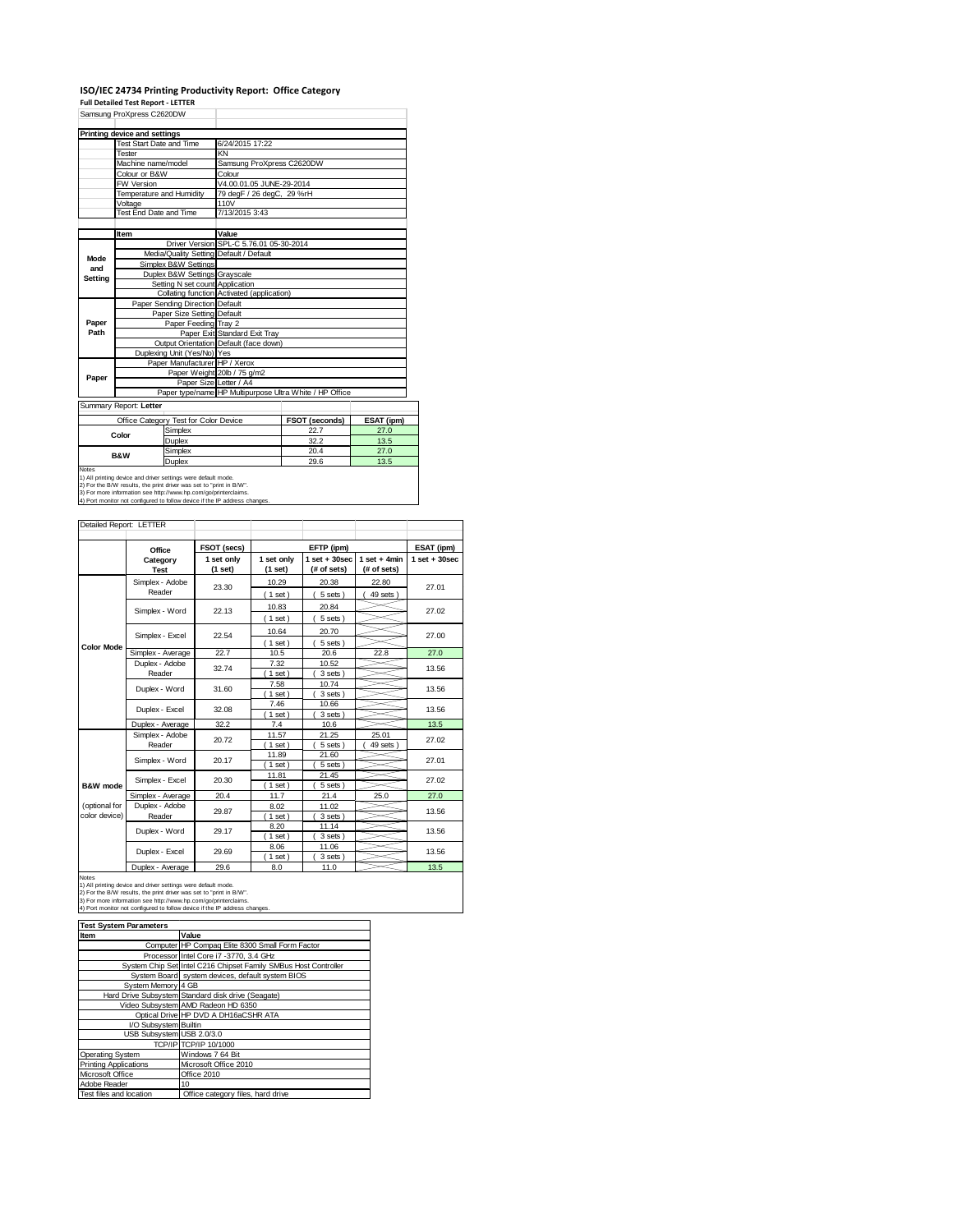### **ISO/IEC 24734 Printing Productivity Report: Office Category**

**Full Detailed Test Report ‐ LETTER** Samsung ProXpress C2620DW

|             | Samsung Proxpress CZ6ZUDW               |                                            |                                                         |            |  |
|-------------|-----------------------------------------|--------------------------------------------|---------------------------------------------------------|------------|--|
|             | Printing device and settings            |                                            |                                                         |            |  |
|             | Test Start Date and Time                | 6/24/2015 17:22                            |                                                         |            |  |
|             | Tester                                  | KN                                         |                                                         |            |  |
|             | Machine name/model                      | Samsung ProXpress C2620DW                  |                                                         |            |  |
|             | Colour or B&W                           | Colour                                     |                                                         |            |  |
|             | FW Version                              | V4.00.01.05 JUNE-29-2014                   |                                                         |            |  |
|             | Temperature and Humidity                | 79 degF / 26 degC, 29 %rH                  |                                                         |            |  |
|             | Voltage                                 | 110V                                       |                                                         |            |  |
|             | Test End Date and Time                  | 7/13/2015 3:43                             |                                                         |            |  |
|             |                                         |                                            |                                                         |            |  |
|             | Item                                    | Value                                      |                                                         |            |  |
|             |                                         | Driver Version SPL-C 5.76.01 05-30-2014    |                                                         |            |  |
| <b>Mode</b> | Media/Quality Setting Default / Default |                                            |                                                         |            |  |
| and         | Simplex B&W Settings                    |                                            |                                                         |            |  |
| Setting     | Duplex B&W Settings Grayscale           |                                            |                                                         |            |  |
|             | Setting N set count Application         |                                            |                                                         |            |  |
|             |                                         | Collating function Activated (application) |                                                         |            |  |
|             | Paper Sending Direction Default         |                                            |                                                         |            |  |
|             | Paper Size Setting Default              |                                            |                                                         |            |  |
| Paper       | Paper Feeding Tray 2                    |                                            |                                                         |            |  |
| Path        |                                         | Paper Exit Standard Exit Tray              |                                                         |            |  |
|             |                                         | Output Orientation Default (face down)     |                                                         |            |  |
|             | Duplexing Unit (Yes/No) Yes             |                                            |                                                         |            |  |
|             | Paper Manufacturer HP / Xerox           |                                            |                                                         |            |  |
| Paper       |                                         | Paper Weight 20lb / 75 g/m2                |                                                         |            |  |
|             |                                         | Paper Size Letter / A4                     |                                                         |            |  |
|             |                                         |                                            | Paper type/name HP Multipurpose Ultra White / HP Office |            |  |
|             | Summary Report: Letter                  |                                            |                                                         |            |  |
|             | Office Category Test for Color Device   |                                            | <b>FSOT (seconds)</b>                                   | ESAT (ipm) |  |
|             | Simpley                                 |                                            | 227                                                     | 27 O       |  |

| Color                                                                      | Simplex | 22.7 | 27.0 |  |  |
|----------------------------------------------------------------------------|---------|------|------|--|--|
|                                                                            | Duplex  | 32.2 | 13.5 |  |  |
| <b>B&amp;W</b>                                                             | Simplex | 20.4 | 27.0 |  |  |
|                                                                            | Duplex  | 29.6 | 13.5 |  |  |
| <b>Notes</b>                                                               |         |      |      |  |  |
| 1) All printing device and driver settings were default mode.              |         |      |      |  |  |
| 2) For the B/W results, the print driver was set to "print in B/W".        |         |      |      |  |  |
| 3) For more information see http://www.hp.com/go/printerclaims.            |         |      |      |  |  |
| 4) Port monitor not configured to follow device if the IP address changes. |         |      |      |  |  |

|               | Office                                      | FSOT (secs)           |                       | EFTP (ipm)                     |                               | ESAT (ipm)              |
|---------------|---------------------------------------------|-----------------------|-----------------------|--------------------------------|-------------------------------|-------------------------|
|               | Category<br><b>Test</b>                     | 1 set only<br>(1 set) | 1 set only<br>(1 set) | $1$ set + 30sec<br>(# of sets) | $1$ set + 4min<br>(# of sets) | $1$ set $+30$ sec       |
|               | Simplex - Adobe                             | 23.30                 | 10.29                 | 20.38                          | 22.80                         | 27.01                   |
|               | Reader                                      |                       | (1 set)               | 5 sets                         | 49 sets                       |                         |
|               |                                             |                       | 10.83                 | 20.84                          |                               |                         |
|               | Simplex - Word                              | 22.13                 | $(1$ set)             | 5 sets)                        |                               | 27.02                   |
|               |                                             |                       | 10.64                 | 20.70                          |                               |                         |
|               | Simplex - Excel                             | 22.54                 | (1 set)               | 5 sets)                        |                               | 27.00                   |
| Color Mode    | Simplex - Average                           | 22.7                  | 10.5                  | 20.6                           | 22.8                          | 27.0                    |
|               | Duplex - Adobe                              |                       | 7.32                  | 10.52                          |                               |                         |
|               | Reader                                      | 32.74                 | 1 set)                | 3 sets)                        |                               | 13.56                   |
|               | Duplex - Word                               | 31.60                 | 7.58                  | 10.74                          |                               | 13.56                   |
|               |                                             |                       | $1$ set)              | 3 sets                         |                               |                         |
|               | Duplex - Excel                              | 32.08                 | 7.46                  | 10.66                          |                               | 13.56                   |
|               |                                             |                       | 1 set                 | 3 sets                         |                               |                         |
|               | Duplex - Average                            | 32.2                  | 7.4                   | 10.6                           |                               | 13.5                    |
|               | Simplex - Adobe<br>Reader<br>Simplex - Word | 20.72                 | 11.57                 | 21.25                          | 25.01                         | 27.02<br>27.01<br>27.02 |
|               |                                             |                       | 1 set                 | 5 sets                         | 49 sets                       |                         |
|               |                                             | 20.17                 | 11.89                 | 21.60                          |                               |                         |
|               |                                             |                       | 1 set                 | 5 sets                         |                               |                         |
|               | Simplex - Excel                             | 20.30                 | 11.81                 | 21.45                          |                               |                         |
| B&W mode      |                                             |                       | 1 set                 | 5 sets                         |                               |                         |
|               | Simplex - Average                           | 20.4                  | 11.7                  | 21.4                           | 25.0                          | 27.0                    |
| (optional for | Duplex - Adobe                              | 29.87                 | 8.02                  | 11.02                          |                               | 13.56                   |
| color device) | Reader                                      |                       | 1 set                 | 3 sets                         |                               |                         |
|               | Duplex - Word                               | 29.17                 | 8.20                  | 11.14                          |                               | 13.56                   |
|               |                                             |                       | $1$ set)              | 3 sets)                        |                               |                         |
|               | Duplex - Excel                              | 29.69                 | 8.06                  | 11.06                          |                               | 13.56                   |
|               |                                             |                       | $1$ set)              | 3 sets)                        |                               |                         |
| <b>Notes</b>  | Duplex - Average                            | 29.6                  | 8.0                   | 11.0                           |                               | 13.5                    |

| <b>Test System Parameters</b> |                                                                 |
|-------------------------------|-----------------------------------------------------------------|
| Item                          | Value                                                           |
|                               | Computer HP Compag Elite 8300 Small Form Factor                 |
|                               | Processor Intel Core i7 -3770, 3.4 GHz                          |
|                               | System Chip Set Intel C216 Chipset Family SMBus Host Controller |
|                               | System Board system devices, default system BIOS                |
| System Memory 4 GB            |                                                                 |
|                               | Hard Drive Subsystem Standard disk drive (Seagate)              |
|                               | Video Subsystem AMD Radeon HD 6350                              |
|                               | Optical Drive HP DVD A DH16aCSHR ATA                            |
| I/O Subsystem Builtin         |                                                                 |
| USB Subsystem USB 2.0/3.0     |                                                                 |
|                               | TCP/IP TCP/IP 10/1000                                           |
| Operating System              | Windows 7 64 Bit                                                |
| <b>Printing Applications</b>  | Microsoft Office 2010                                           |
| Microsoft Office              | Office 2010                                                     |
| Adobe Reader                  | 10                                                              |
| Test files and location       | Office category files, hard drive                               |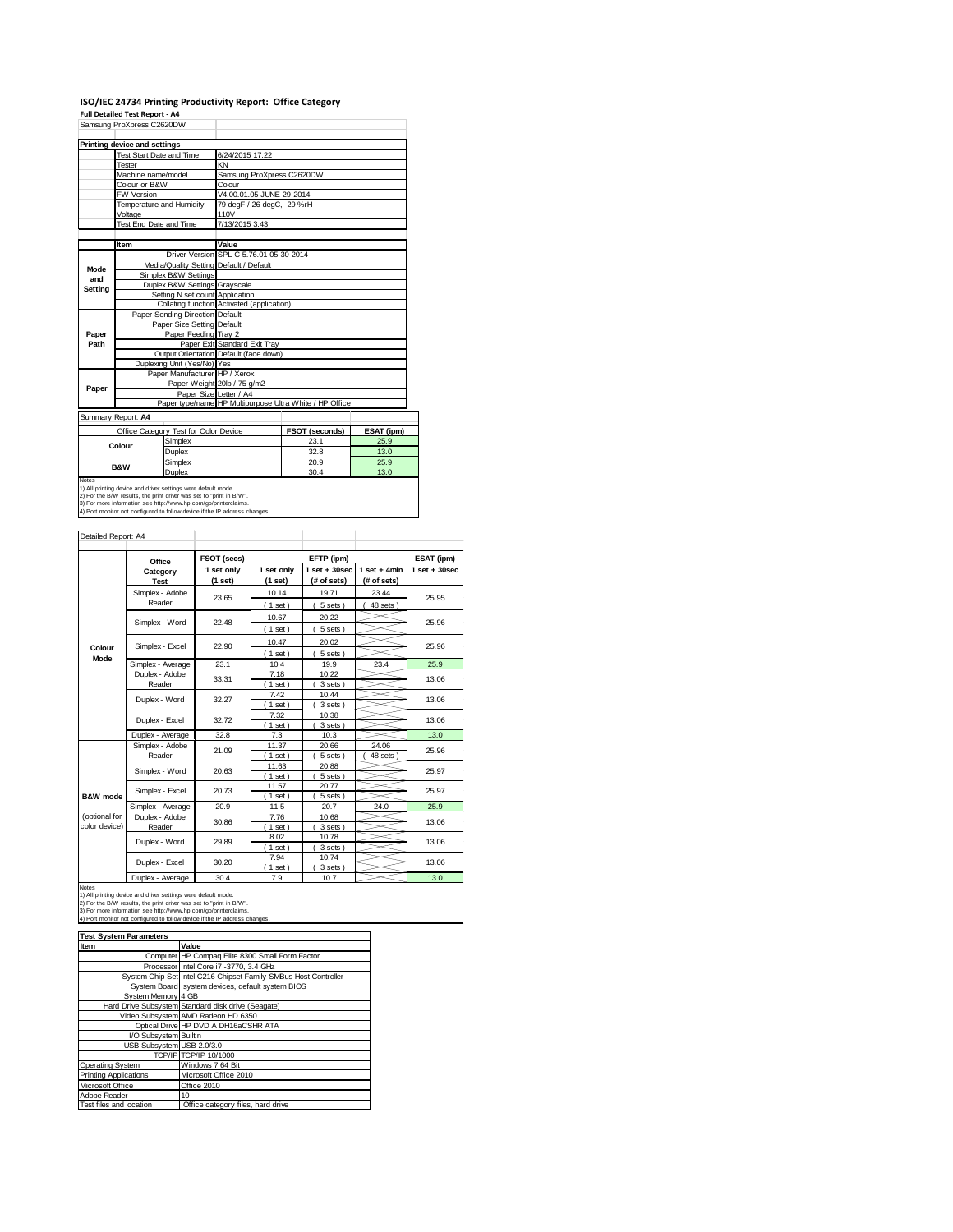## **ISO/IEC 24734 Printing Productivity Report: Office Category Full Detailed Test Report ‐ A4**

|                | Samsung ProXpress C2620DW    |                                         |                                                                                   |                       |               |  |  |
|----------------|------------------------------|-----------------------------------------|-----------------------------------------------------------------------------------|-----------------------|---------------|--|--|
|                | Printing device and settings |                                         |                                                                                   |                       |               |  |  |
|                | Test Start Date and Time     |                                         | 6/24/2015 17:22                                                                   |                       |               |  |  |
|                | Tester                       |                                         | KN                                                                                |                       |               |  |  |
|                | Machine name/model           |                                         | Samsung ProXpress C2620DW                                                         |                       |               |  |  |
|                | Colour or B&W                |                                         | Colour                                                                            |                       |               |  |  |
|                | FW Version                   |                                         | V4.00.01.05 JUNE-29-2014                                                          |                       |               |  |  |
|                |                              | Temperature and Humidity                | 79 degF / 26 degC, 29 %rH                                                         |                       |               |  |  |
|                | Voltage                      |                                         | 110V                                                                              |                       |               |  |  |
|                | Test End Date and Time       |                                         | 7/13/2015 3:43                                                                    |                       |               |  |  |
|                | Item                         |                                         | Value                                                                             |                       |               |  |  |
|                |                              |                                         | Driver Version SPL-C 5.76.01 05-30-2014                                           |                       |               |  |  |
|                |                              | Media/Quality Setting Default / Default |                                                                                   |                       |               |  |  |
| Mode<br>and    |                              | Simplex B&W Settings                    |                                                                                   |                       |               |  |  |
| <b>Setting</b> |                              | Duplex B&W Settings Grayscale           |                                                                                   |                       |               |  |  |
|                |                              | Setting N set count Application         |                                                                                   |                       |               |  |  |
|                |                              |                                         | Collating function Activated (application)                                        |                       |               |  |  |
|                |                              | Paper Sending Direction Default         |                                                                                   |                       |               |  |  |
|                |                              | Paper Size Setting Default              |                                                                                   |                       |               |  |  |
| Paper          |                              | Paper Feeding Tray 2                    |                                                                                   |                       |               |  |  |
| Path           |                              |                                         | Paper Exit Standard Exit Tray                                                     |                       |               |  |  |
|                |                              |                                         | Output Orientation Default (face down)                                            |                       |               |  |  |
|                |                              | Duplexing Unit (Yes/No) Yes             |                                                                                   |                       |               |  |  |
|                |                              | Paper Manufacturer HP / Xerox           |                                                                                   |                       |               |  |  |
| Paper          |                              |                                         | Paper Weight 20lb / 75 g/m2                                                       |                       |               |  |  |
|                |                              |                                         | Paper Size Letter / A4<br>Paper type/name HP Multipurpose Ultra White / HP Office |                       |               |  |  |
|                |                              |                                         |                                                                                   |                       |               |  |  |
|                | Summary Report: A4           |                                         |                                                                                   |                       |               |  |  |
|                |                              | Office Category Test for Color Device   |                                                                                   | <b>FSOT (seconds)</b> | ESAT (ipm)    |  |  |
|                | Colour                       | Simplex                                 |                                                                                   | 23.1                  | 25.9          |  |  |
|                |                              | Duplex                                  |                                                                                   | 32.8                  | 13.0          |  |  |
|                | <b>B&amp;W</b>               | Simplex                                 |                                                                                   | 20.9                  | 25.9          |  |  |
|                |                              |                                         |                                                                                   | $- -$                 | $\sim$ $\sim$ |  |  |

Duplex 30.4 13.0<br>1) Altiprinting device and drive settings were default mode. 2014 13.0<br>2) For the BAW results, the print driver was set to "print in BAW".<br>3) For moe information see thtp://www.hp.com/go/printerclaims.<br>4)

|                                | Office                    | FSOT (secs)           |                       | EFTP (ipm)                     |                               | ESAT (ipm)        |
|--------------------------------|---------------------------|-----------------------|-----------------------|--------------------------------|-------------------------------|-------------------|
|                                | Category<br><b>Test</b>   | 1 set only<br>(1 set) | 1 set only<br>(1 set) | $1$ set + 30sec<br>(# of sets) | $1$ set + 4min<br>(# of sets) | $1$ set $+30$ sec |
|                                | Simplex - Adobe<br>Reader | 23.65                 | 10.14<br>(1 set)      | 19.71<br>5 sets)               | 23.44<br>48 sets              | 25.95             |
|                                | Simplex - Word            | 22.48                 | 10.67<br>(1 set)      | 20.22<br>5 sets)               |                               | 25.96             |
| Colour                         | Simplex - Excel           | 22.90                 | 10.47<br>$(1$ set)    | 20.02<br>5 sets)               |                               | 25.96             |
| Mode                           | Simplex - Average         | 23.1                  | 10.4                  | 19.9                           | 23.4                          | 25.9              |
|                                | Duplex - Adobe<br>Reader  | 33.31                 | 7.18<br>$1$ set)      | 10.22<br>3 sets)               |                               | 13.06             |
|                                | Duplex - Word             | 32.27                 | 7.42<br>$(1$ set)     | 10.44<br>3 sets)               |                               | 13.06             |
|                                | Duplex - Excel            | 32.72                 | 7.32<br>$1$ set)      | 10.38<br>3 sets)               |                               | 13.06             |
|                                | Duplex - Average          | 32.8                  | 7.3                   | 10.3                           |                               | 13.0              |
|                                | Simplex - Adobe<br>Reader | 21.09                 | 11.37<br>(1 set)      | 20.66<br>5 sets)               | 24.06<br>48 sets              | 25.96             |
|                                | Simplex - Word            | 20.63                 | 11.63<br>$1$ set)     | 20.88<br>5 sets)               |                               | 25.97             |
| <b>B&amp;W</b> mode            | Simplex - Excel           | 20.73                 | 11.57<br>$1$ set)     | 20.77<br>5 sets                |                               | 25.97             |
|                                | Simplex - Average         | 20.9                  | 11.5                  | 20.7                           | 24.0                          | 25.9              |
| (optional for<br>color device) | Duplex - Adobe<br>Reader  | 30.86                 | 7.76<br>$1$ set)      | 10.68<br>3 sets                |                               | 13.06             |
|                                | Duplex - Word             | 29.89                 | 8.02<br>$1$ set)      | 10.78<br>3 sets                |                               | 13.06             |
|                                | Duplex - Excel            | 30.20                 | 7.94<br>$1$ set)      | 10.74<br>3 sets)               |                               | 13.06             |
|                                | Duplex - Average          | 30.4                  | 7.9                   | 10.7                           |                               | 13.0              |

| <b>Test System Parameters</b> |                                                                 |
|-------------------------------|-----------------------------------------------------------------|
| Item                          | Value                                                           |
|                               | Computer HP Compag Elite 8300 Small Form Factor                 |
|                               | Processor Intel Core i7 -3770, 3.4 GHz                          |
|                               | System Chip Set Intel C216 Chipset Family SMBus Host Controller |
|                               | System Board system devices, default system BIOS                |
| System Memory 4 GB            |                                                                 |
|                               | Hard Drive Subsystem Standard disk drive (Seagate)              |
|                               | Video Subsystem AMD Radeon HD 6350                              |
|                               | Optical Drive HP DVD A DH16aCSHR ATA                            |
| I/O Subsystem Builtin         |                                                                 |
| USB Subsystem USB 2.0/3.0     |                                                                 |
|                               | TCP/IP TCP/IP 10/1000                                           |
| Operating System              | Windows 7 64 Bit                                                |
| <b>Printing Applications</b>  | Microsoft Office 2010                                           |
| Microsoft Office              | Office 2010                                                     |
| Adobe Reader                  | 10                                                              |
| Test files and location       | Office category files, hard drive                               |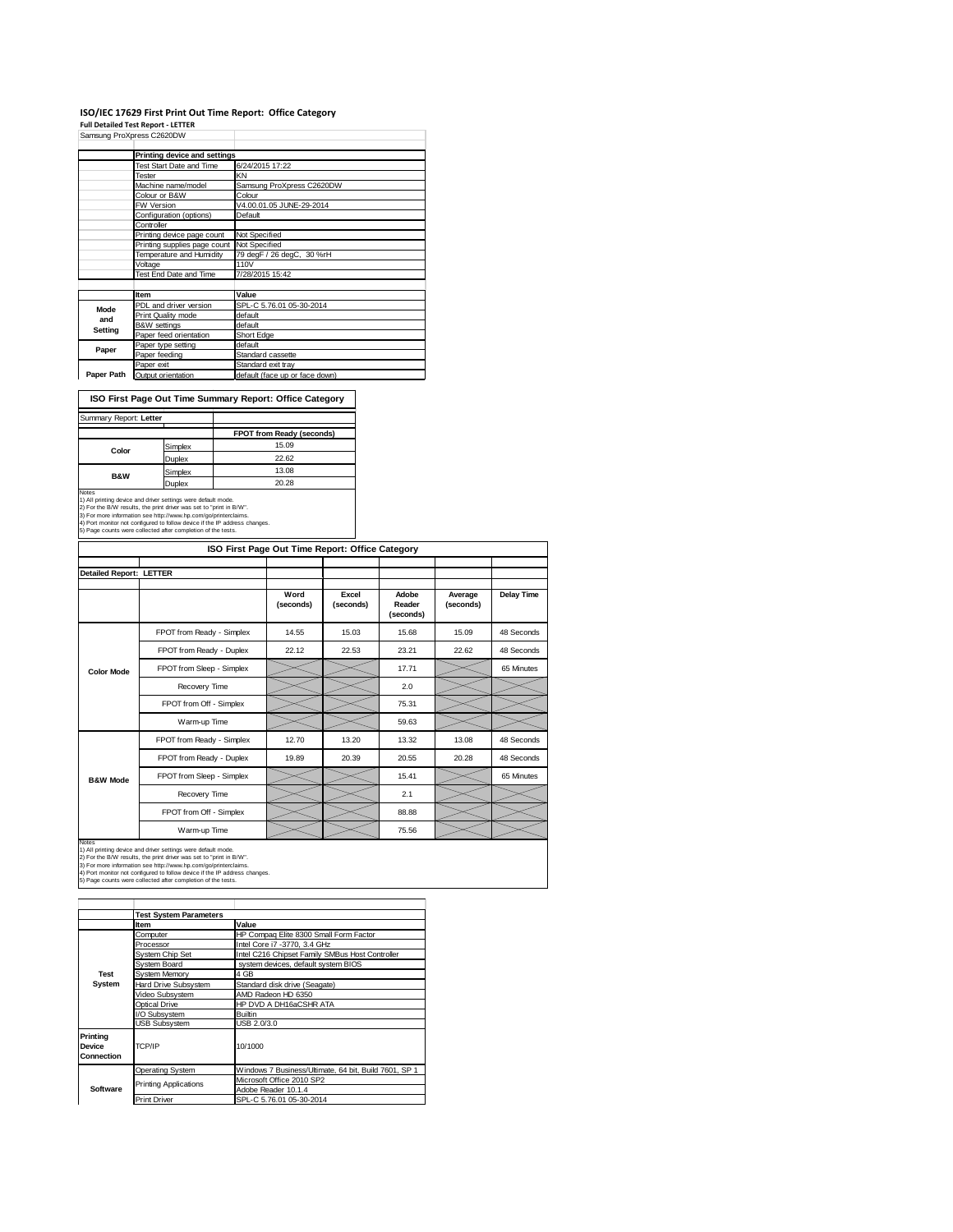# ISO/IEC 17629 First Print Out Time Report: Office Category<br>Full Detailed Test Report - LETTER<br>Samsung ProXpress C2620DW

|            | Printing device and settings |                                |
|------------|------------------------------|--------------------------------|
|            | Test Start Date and Time     | 6/24/2015 17:22                |
|            | Tester                       | KN                             |
|            | Machine name/model           | Samsung ProXpress C2620DW      |
|            | Colour or B&W                | Colour                         |
|            | <b>FW Version</b>            | V4.00.01.05 JUNE-29-2014       |
|            | Configuration (options)      | Default                        |
|            | Controller                   |                                |
|            | Printing device page count   | Not Specified                  |
|            | Printing supplies page count | Not Specified                  |
|            | Temperature and Humidity     | 79 degF / 26 degC, 30 %rH      |
|            | Voltage                      | 110V                           |
|            | Test End Date and Time       | 7/28/2015 15:42                |
|            |                              |                                |
|            | Item                         | Value                          |
| Mode       | PDL and driver version       | SPL-C 5.76.01 05-30-2014       |
| and        | Print Quality mode           | default                        |
| Setting    | <b>B&amp;W</b> settings      | default                        |
|            | Paper feed orientation       | Short Edge                     |
| Paper      | Paper type setting           | default                        |
|            | Paper feeding                | Standard cassette              |
|            | Paper exit                   | Standard exit tray             |
| Paper Path | Output orientation           | default (face up or face down) |

**ISO First Page Out Time Summary Report: Office Category**

| Summary Report: Letter |         |                           |
|------------------------|---------|---------------------------|
|                        |         | FPOT from Ready (seconds) |
| Color                  | Simplex | 15.09                     |
|                        | Duplex  | 22.62                     |
| <b>B&amp;W</b>         | Simplex | 13.08                     |
|                        | Duplex  | 20.28                     |

Notes<br>1) All printing device and driver settings were default mode.<br>2) For the B/W results, the print driver was set to "print in B/W".<br>3) For more information see http://www.hp.com/go/printerclaims.<br>4) Port monitor not co

|                         |                           | ISO First Page Out Time Report: Office Category |                    |                              |                      |                   |
|-------------------------|---------------------------|-------------------------------------------------|--------------------|------------------------------|----------------------|-------------------|
| Detailed Report: LETTER |                           |                                                 |                    |                              |                      |                   |
|                         |                           | Word<br>(seconds)                               | Excel<br>(seconds) | Adobe<br>Reader<br>(seconds) | Average<br>(seconds) | <b>Delay Time</b> |
|                         | FPOT from Ready - Simplex | 14.55                                           | 15.03              | 15.68                        | 15.09                | 48 Seconds        |
|                         | FPOT from Ready - Duplex  | 22.12                                           | 22.53              | 23.21                        | 22.62                | 48 Seconds        |
| <b>Color Mode</b>       | FPOT from Sleep - Simplex |                                                 |                    | 17.71                        |                      | 65 Minutes        |
|                         | Recovery Time             |                                                 |                    | 2.0                          |                      |                   |
|                         | FPOT from Off - Simplex   |                                                 |                    | 75.31                        |                      |                   |
|                         | Warm-up Time              |                                                 |                    | 59.63                        |                      |                   |
|                         | FPOT from Ready - Simplex | 12.70                                           | 13.20              | 13.32                        | 13.08                | 48 Seconds        |
|                         | FPOT from Ready - Duplex  | 19.89                                           | 20.39              | 20.55                        | 20.28                | 48 Seconds        |
| <b>B&amp;W Mode</b>     | FPOT from Sleep - Simplex |                                                 |                    | 15.41                        |                      | 65 Minutes        |
|                         | Recovery Time             |                                                 |                    | 2.1                          |                      |                   |
|                         | FPOT from Off - Simplex   |                                                 |                    | 88.88                        |                      |                   |
|                         | Warm-up Time              |                                                 |                    | 75.56                        |                      |                   |

Notes<br>1) All printing device and driver settings were default mode.<br>2) For the B/W results, the print driver was set to "print in B/W".<br>3) For more information see http://www.hp.com/go/printerclaims.<br>4) Port monitor not co

|                                  | <b>Test System Parameters</b> |                                                       |
|----------------------------------|-------------------------------|-------------------------------------------------------|
|                                  | Item                          | Value                                                 |
|                                  | Computer                      | HP Compaq Elite 8300 Small Form Factor                |
|                                  | Processor                     | Intel Core i7 -3770, 3.4 GHz                          |
|                                  | System Chip Set               | Intel C216 Chipset Family SMBus Host Controller       |
|                                  | System Board                  | system devices, default system BIOS                   |
| <b>Test</b>                      | System Memory                 | 4 GB                                                  |
| System                           | Hard Drive Subsystem          | Standard disk drive (Seagate)                         |
|                                  | Video Subsystem               | AMD Radeon HD 6350                                    |
|                                  | Optical Drive                 | HP DVD A DH16aCSHR ATA                                |
|                                  | I/O Subsystem                 | <b>Builtin</b>                                        |
|                                  | <b>USB Subsystem</b>          | USB 2.0/3.0                                           |
| Printing<br>Device<br>Connection | TCP/IP                        | 10/1000                                               |
|                                  | <b>Operating System</b>       | Windows 7 Business/Ultimate, 64 bit, Build 7601, SP 1 |
|                                  | <b>Printing Applications</b>  | Microsoft Office 2010 SP2                             |
| Software                         |                               | Adobe Reader 10.1.4                                   |
|                                  | <b>Print Driver</b>           | SPL-C 5.76.01 05-30-2014                              |